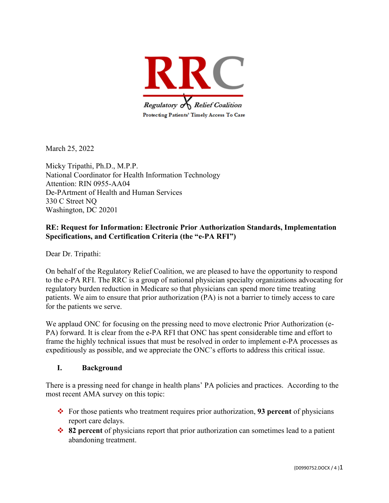

March 25, 2022

Micky Tripathi, Ph.D., M.P.P. National Coordinator for Health Information Technology Attention: RIN 0955-AA04 De-PArtment of Health and Human Services 330 C Street NQ Washington, DC 20201

### **RE: Request for Information: Electronic Prior Authorization Standards, Implementation Specifications, and Certification Criteria (the "e-PA RFI")**

Dear Dr. Tripathi:

On behalf of the Regulatory Relief Coalition, we are pleased to have the opportunity to respond to the e-PA RFI. The RRC is a group of national physician specialty organizations advocating for regulatory burden reduction in Medicare so that physicians can spend more time treating patients. We aim to ensure that prior authorization (PA) is not a barrier to timely access to care for the patients we serve.

We applaud ONC for focusing on the pressing need to move electronic Prior Authorization (e-PA) forward. It is clear from the e-PA RFI that ONC has spent considerable time and effort to frame the highly technical issues that must be resolved in order to implement e-PA processes as expeditiously as possible, and we appreciate the ONC's efforts to address this critical issue.

#### **I. Background**

There is a pressing need for change in health plans' PA policies and practices. According to the most recent AMA survey on this topic:

- For those patients who treatment requires prior authorization, **93 percent** of physicians report care delays.
- **82 percent** of physicians report that prior authorization can sometimes lead to a patient abandoning treatment.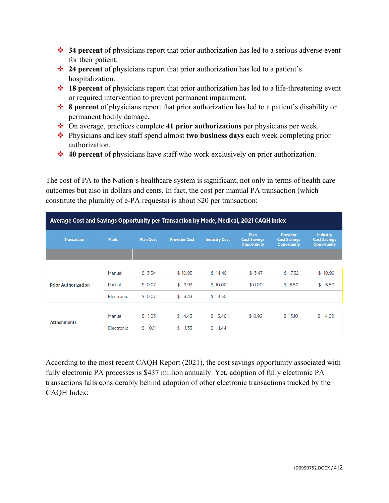- **34 percent** of physicians report that prior authorization has led to a serious adverse event for their patient.
- **24 percent** of physicians report that prior authorization has led to a patient's hospitalization.
- **18 percent** of physicians report that prior authorization has led to a life-threatening event or required intervention to prevent permanent impairment.
- **8 percent** of physicians report that prior authorization has led to a patient's disability or permanent bodily damage.
- On average, practices complete **41 prior authorizations** per physicians per week.
- Physicians and key staff spend almost **two business days** each week completing prior authorization.
- **40 percent** of physicians have staff who work exclusively on prior authorization.

The cost of PA to the Nation's healthcare system is significant, not only in terms of health care outcomes but also in dollars and cents. In fact, the cost per manual PA transaction (which constitute the plurality of e-PA requests) is about \$20 per transaction:

| Average Cost and Savings Opportunity per Transaction by Mode, Medical, 2021 CAQH Index |            |                  |                      |                      |                                                   |                                                              |                                                       |
|----------------------------------------------------------------------------------------|------------|------------------|----------------------|----------------------|---------------------------------------------------|--------------------------------------------------------------|-------------------------------------------------------|
| <b>Transaction</b>                                                                     | Mode       | <b>Plan Cost</b> | <b>Provider Cost</b> | <b>Industry Cost</b> | Plan<br><b>Cost Savings</b><br><b>Opportunity</b> | <b>Provider</b><br><b>Cost Savings</b><br><b>Opportunity</b> | Industry<br><b>Cost Savings</b><br><b>Opportunity</b> |
|                                                                                        |            |                  |                      |                      |                                                   |                                                              |                                                       |
| <b>Prior Authorization</b>                                                             | Manual     | \$3.54           | \$10.95              | \$14.49              | \$3.47                                            | \$7.52                                                       | \$10.99                                               |
|                                                                                        | Partial    | \$0.07           | \$<br>9.93           | \$10.00              | \$0.00                                            | \$6.50                                                       | \$<br>6.50                                            |
|                                                                                        | Electronic | \$0.07           | 3.43<br>\$           | \$<br>3.50           |                                                   |                                                              |                                                       |
| <b>Attachments</b>                                                                     |            |                  |                      |                      |                                                   |                                                              |                                                       |
|                                                                                        | Manual     | \$1.03           | \$4.43               | \$5,46               | \$0.92                                            | \$3.10                                                       | \$<br>4.02                                            |
|                                                                                        | Electronic | \$<br>O.11       | 1.33<br>\$           | \$<br>1.44           |                                                   |                                                              |                                                       |

According to the most recent CAQH Report (2021), the cost savings opportunity associated with fully electronic PA processes is \$437 million annually. Yet, adoption of fully electronic PA transactions falls considerably behind adoption of other electronic transactions tracked by the CAQH Index: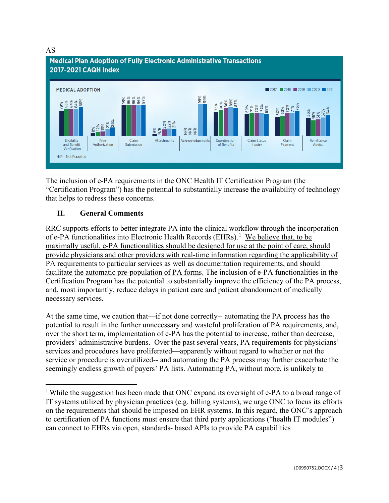#### AS



The inclusion of e-PA requirements in the ONC Health IT Certification Program (the "Certification Program") has the potential to substantially increase the availability of technology that helps to redress these concerns.

### **II. General Comments**

RRC supports efforts to better integrate PA into the clinical workflow through the incorporation of e-PA functionalities into Electronic Health Records (EHRs).<sup>[1](#page-2-0)</sup> We believe that, to be maximally useful, e-PA functionalities should be designed for use at the point of care, should provide physicians and other providers with real-time information regarding the applicability of PA requirements to particular services as well as documentation requirements, and should facilitate the automatic pre-population of PA forms. The inclusion of e-PA functionalities in the Certification Program has the potential to substantially improve the efficiency of the PA process, and, most importantly, reduce delays in patient care and patient abandonment of medically necessary services.

At the same time, we caution that—if not done correctly-- automating the PA process has the potential to result in the further unnecessary and wasteful proliferation of PA requirements, and, over the short term, implementation of e-PA has the potential to increase, rather than decrease, providers' administrative burdens. Over the past several years, PA requirements for physicians' services and procedures have proliferated—apparently without regard to whether or not the service or procedure is overutilized-- and automating the PA process may further exacerbate the seemingly endless growth of payers' PA lists. Automating PA, without more, is unlikely to

<span id="page-2-0"></span><sup>&</sup>lt;sup>1</sup> While the suggestion has been made that ONC expand its oversight of e-PA to a broad range of IT systems utilized by physician practices (e.g. billing systems), we urge ONC to focus its efforts on the requirements that should be imposed on EHR systems. In this regard, the ONC's approach to certification of PA functions must ensure that third party applications ("health IT modules") can connect to EHRs via open, standards- based APIs to provide PA capabilities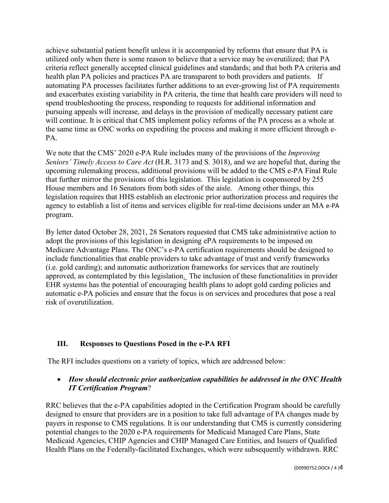achieve substantial patient benefit unless it is accompanied by reforms that ensure that PA is utilized only when there is some reason to believe that a service may be overutilized; that PA criteria reflect generally accepted clinical guidelines and standards; and that both PA criteria and health plan PA policies and practices PA are transparent to both providers and patients. If automating PA processes facilitates further additions to an ever-growing list of PA requirements and exacerbates existing variability in PA criteria, the time that health care providers will need to spend troubleshooting the process, responding to requests for additional information and pursuing appeals will increase, and delays in the provision of medically necessary patient care will continue. It is critical that CMS implement policy reforms of the PA process as a whole at the same time as ONC works on expediting the process and making it more efficient through e-PA.

We note that the CMS' 2020 e-PA Rule includes many of the provisions of the *Improving Seniors' Timely Access to Care Act* (H.R. 3173 and S. 3018), and we are hopeful that, during the upcoming rulemaking process, additional provisions will be added to the CMS e-PA Final Rule that further mirror the provisions of this legislation. This legislation is cosponsored by 255 House members and 16 Senators from both sides of the aisle. Among other things, this legislation requires that HHS establish an electronic prior authorization process and requires the agency to establish a list of items and services eligible for real-time decisions under an MA e-PA program.

By letter dated October 28, 2021, 28 Senators requested that CMS take administrative action to adopt the provisions of this legislation in designing ePA requirements to be imposed on Medicare Advantage Plans. The ONC's e-PA certification requirements should be designed to include functionalities that enable providers to take advantage of trust and verify frameworks (i.e. gold carding); and automatic authorization frameworks for services that are routinely approved, as contemplated by this legislation. The inclusion of these functionalities in provider EHR systems has the potential of encouraging health plans to adopt gold carding policies and automatic e-PA policies and ensure that the focus is on services and procedures that pose a real risk of overutilization.

# **III. Responses to Questions Posed in the e-PA RFI**

The RFI includes questions on a variety of topics, which are addressed below:

### • *How should electronic prior authorization capabilities be addressed in the ONC Health IT Certification Program*?

RRC believes that the e-PA capabilities adopted in the Certification Program should be carefully designed to ensure that providers are in a position to take full advantage of PA changes made by payers in response to CMS regulations. It is our understanding that CMS is currently considering potential changes to the 2020 e-PA requirements for Medicaid Managed Care Plans, State Medicaid Agencies, CHIP Agencies and CHIP Managed Care Entities, and Issuers of Qualified Health Plans on the Federally-facilitated Exchanges, which were subsequently withdrawn. RRC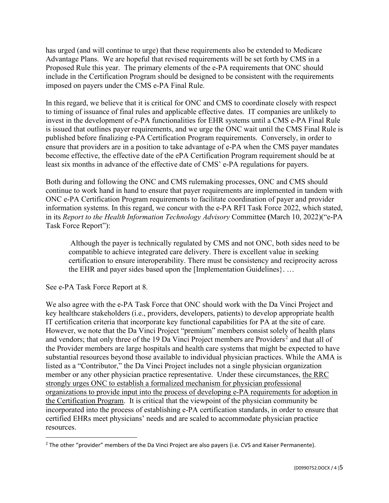has urged (and will continue to urge) that these requirements also be extended to Medicare Advantage Plans. We are hopeful that revised requirements will be set forth by CMS in a Proposed Rule this year. The primary elements of the e-PA requirements that ONC should include in the Certification Program should be designed to be consistent with the requirements imposed on payers under the CMS e-PA Final Rule.

In this regard, we believe that it is critical for ONC and CMS to coordinate closely with respect to timing of issuance of final rules and applicable effective dates. IT companies are unlikely to invest in the development of e-PA functionalities for EHR systems until a CMS e-PA Final Rule is issued that outlines payer requirements, and we urge the ONC wait until the CMS Final Rule is published before finalizing e-PA Certification Program requirements. Conversely, in order to ensure that providers are in a position to take advantage of e-PA when the CMS payer mandates become effective, the effective date of the ePA Certification Program requirement should be at least six months in advance of the effective date of CMS' e-PA regulations for payers.

Both during and following the ONC and CMS rulemaking processes, ONC and CMS should continue to work hand in hand to ensure that payer requirements are implemented in tandem with ONC e-PA Certification Program requirements to facilitate coordination of payer and provider information systems. In this regard, we concur with the e-PA RFI Task Force 2022, which stated, in its *Report to the Health Information Technology Advisory* Committee **(**March 10, 2022)("e-PA Task Force Report"):

 Although the payer is technically regulated by CMS and not ONC, both sides need to be compatible to achieve integrated care delivery. There is excellent value in seeking certification to ensure interoperability. There must be consistency and reciprocity across the EHR and payer sides based upon the [Implementation Guidelines}. …

See e-PA Task Force Report at 8.

We also agree with the e-PA Task Force that ONC should work with the Da Vinci Project and key healthcare stakeholders (i.e., providers, developers, patients) to develop appropriate health IT certification criteria that incorporate key functional capabilities for PA at the site of care. However, we note that the Da Vinci Project "premium" members consist solely of health plans and vendors; that only three of the 19 Da Vinci Project members are Providers<sup>[2](#page-4-0)</sup> and that all of the Provider members are large hospitals and health care systems that might be expected to have substantial resources beyond those available to individual physician practices. While the AMA is listed as a "Contributor," the Da Vinci Project includes not a single physician organization member or any other physician practice representative. Under these circumstances, the RRC strongly urges ONC to establish a formalized mechanism for physician professional organizations to provide input into the process of developing e-PA requirements for adoption in the Certification Program. It is critical that the viewpoint of the physician community be incorporated into the process of establishing e-PA certification standards, in order to ensure that certified EHRs meet physicians' needs and are scaled to accommodate physician practice resources.

<span id="page-4-0"></span><sup>&</sup>lt;sup>2</sup> The other "provider" members of the Da Vinci Project are also payers (i.e. CVS and Kaiser Permanente).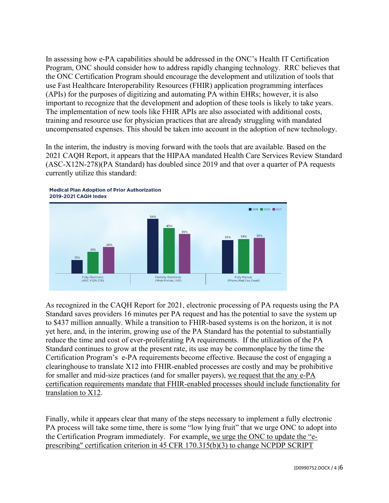In assessing how e-PA capabilities should be addressed in the ONC's Health IT Certification Program, ONC should consider how to address rapidly changing technology. RRC believes that the ONC Certification Program should encourage the development and utilization of tools that use Fast Healthcare Interoperability Resources (FHIR) application programming interfaces (APIs) for the purposes of digitizing and automating PA within EHRs; however, it is also important to recognize that the development and adoption of these tools is likely to take years. The implementation of new tools like FHIR APIs are also associated with additional costs, training and resource use for physician practices that are already struggling with mandated uncompensated expenses. This should be taken into account in the adoption of new technology.

In the interim, the industry is moving forward with the tools that are available. Based on the 2021 CAQH Report, it appears that the HIPAA mandated Health Care Services Review Standard (ASC-X12N-278)(PA Standard) has doubled since 2019 and that over a quarter of PA requests currently utilize this standard:



**Medical Plan Adoption of Prior Authorization** 

As recognized in the CAQH Report for 2021, electronic processing of PA requests using the PA Standard saves providers 16 minutes per PA request and has the potential to save the system up to \$437 million annually. While a transition to FHIR-based systems is on the horizon, it is not yet here, and, in the interim, growing use of the PA Standard has the potential to substantially reduce the time and cost of ever-proliferating PA requirements. If the utilization of the PA Standard continues to grow at the present rate, its use may be commonplace by the time the Certification Program's e-PA requirements become effective. Because the cost of engaging a clearinghouse to translate X12 into FHIR-enabled processes are costly and may be prohibitive for smaller and mid-size practices (and for smaller payers), we request that the any e-PA certification requirements mandate that FHIR-enabled processes should include functionality for translation to X12.

Finally, while it appears clear that many of the steps necessary to implement a fully electronic PA process will take some time, there is some "low lying fruit" that we urge ONC to adopt into the Certification Program immediately. For example, we urge the ONC to update the "eprescribing" certification criterion in 45 CFR 170.315(b)(3) to change NCPDP SCRIPT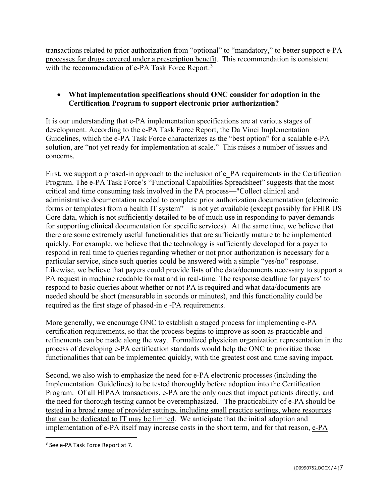transactions related to prior authorization from "optional" to "mandatory," to better support e-PA processes for drugs covered under a prescription benefit. This recommendation is consistent with the recommendation of e-PA Task Force Report.<sup>[3](#page-6-0)</sup>

## • **What implementation specifications should ONC consider for adoption in the Certification Program to support electronic prior authorization?**

It is our understanding that e-PA implementation specifications are at various stages of development. According to the e-PA Task Force Report, the Da Vinci Implementation Guidelines, which the e-PA Task Force characterizes as the "best option" for a scalable e-PA solution, are "not yet ready for implementation at scale." This raises a number of issues and concerns.

First, we support a phased-in approach to the inclusion of e\_PA requirements in the Certification Program. The e-PA Task Force's "Functional Capabilities Spreadsheet" suggests that the most critical and time consuming task involved in the PA process—"Collect clinical and administrative documentation needed to complete prior authorization documentation (electronic forms or templates) from a health IT system"—is not yet available (except possibly for FHIR US Core data, which is not sufficiently detailed to be of much use in responding to payer demands for supporting clinical documentation for specific services). At the same time, we believe that there are some extremely useful functionalities that are sufficiently mature to be implemented quickly. For example, we believe that the technology is sufficiently developed for a payer to respond in real time to queries regarding whether or not prior authorization is necessary for a particular service, since such queries could be answered with a simple "yes/no" response. Likewise, we believe that payers could provide lists of the data/documents necessary to support a PA request in machine readable format and in real-time. The response deadline for payers' to respond to basic queries about whether or not PA is required and what data/documents are needed should be short (measurable in seconds or minutes), and this functionality could be required as the first stage of phased-in e -PA requirements.

More generally, we encourage ONC to establish a staged process for implementing e-PA certification requirements, so that the process begins to improve as soon as practicable and refinements can be made along the way. Formalized physician organization representation in the process of developing e-PA certification standards would help the ONC to prioritize those functionalities that can be implemented quickly, with the greatest cost and time saving impact.

Second, we also wish to emphasize the need for e-PA electronic processes (including the Implementation Guidelines) to be tested thoroughly before adoption into the Certification Program. Of all HIPAA transactions, e-PA are the only ones that impact patients directly, and the need for thorough testing cannot be overemphasized. The practicability of e-PA should be tested in a broad range of provider settings, including small practice settings, where resources that can be dedicated to IT may be limited. We anticipate that the initial adoption and implementation of e-PA itself may increase costs in the short term, and for that reason, e-PA

<span id="page-6-0"></span><sup>3</sup> See e-PA Task Force Report at 7.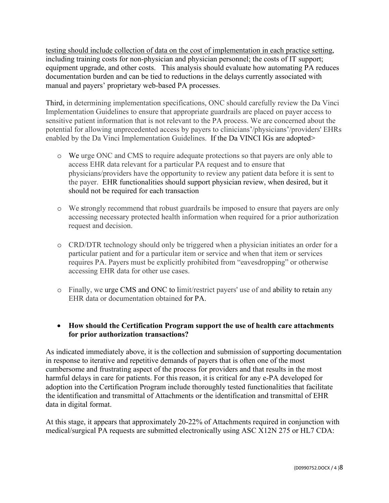testing should include collection of data on the cost of implementation in each practice setting, including training costs for non-physician and physician personnel; the costs of IT support; equipment upgrade, and other costs. This analysis should evaluate how automating PA reduces documentation burden and can be tied to reductions in the delays currently associated with manual and payers' proprietary web-based PA processes.

Third, in determining implementation specifications, ONC should carefully review the Da Vinci Implementation Guidelines to ensure that appropriate guardrails are placed on payer access to sensitive patient information that is not relevant to the PA process. We are concerned about the potential for allowing unprecedented access by payers to clinicians'/physicians'/providers' EHRs enabled by the Da Vinci Implementation Guidelines. If the Da VINCI IGs are adopted>

- o We urge ONC and CMS to require adequate protections so that payers are only able to access EHR data relevant for a particular PA request and to ensure that physicians/providers have the opportunity to review any patient data before it is sent to the payer. EHR functionalities should support physician review, when desired, but it should not be required for each transaction
- o We strongly recommend that robust guardrails be imposed to ensure that payers are only accessing necessary protected health information when required for a prior authorization request and decision.
- o CRD/DTR technology should only be triggered when a physician initiates an order for a particular patient and for a particular item or service and when that item or services requires PA. Payers must be explicitly prohibited from "eavesdropping" or otherwise accessing EHR data for other use cases.
- o Finally, we urge CMS and ONC to limit/restrict payers' use of and ability to retain any EHR data or documentation obtained for PA.

# • **How should the Certification Program support the use of health care attachments for prior authorization transactions?**

As indicated immediately above, it is the collection and submission of supporting documentation in response to iterative and repetitive demands of payers that is often one of the most cumbersome and frustrating aspect of the process for providers and that results in the most harmful delays in care for patients. For this reason, it is critical for any e-PA developed for adoption into the Certification Program include thoroughly tested functionalities that facilitate the identification and transmittal of Attachments or the identification and transmittal of EHR data in digital format.

At this stage, it appears that approximately 20-22% of Attachments required in conjunction with medical/surgical PA requests are submitted electronically using ASC X12N 275 or HL7 CDA: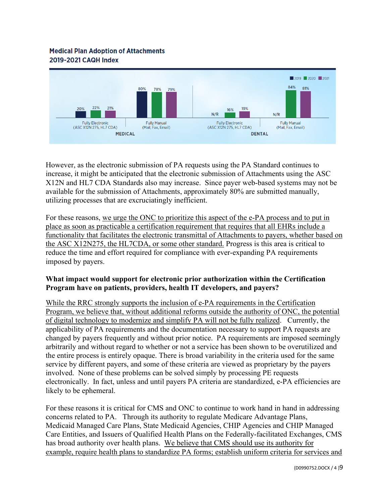# **Medical Plan Adoption of Attachments** 2019-2021 CAQH Index



However, as the electronic submission of PA requests using the PA Standard continues to increase, it might be anticipated that the electronic submission of Attachments using the ASC X12N and HL7 CDA Standards also may increase. Since payer web-based systems may not be available for the submission of Attachments, approximately 80% are submitted manually, utilizing processes that are excruciatingly inefficient.

For these reasons, we urge the ONC to prioritize this aspect of the e-PA process and to put in place as soon as practicable a certification requirement that requires that all EHRs include a functionality that facilitates the electronic transmittal of Attachments to payers, whether based on the ASC X12N275, the HL7CDA, or some other standard. Progress is this area is critical to reduce the time and effort required for compliance with ever-expanding PA requirements imposed by payers.

### **What impact would support for electronic prior authorization within the Certification Program have on patients, providers, health IT developers, and payers?**

While the RRC strongly supports the inclusion of e-PA requirements in the Certification Program, we believe that, without additional reforms outside the authority of ONC, the potential of digital technology to modernize and simplify PA will not be fully realized. Currently, the applicability of PA requirements and the documentation necessary to support PA requests are changed by payers frequently and without prior notice. PA requirements are imposed seemingly arbitrarily and without regard to whether or not a service has been shown to be overutilized and the entire process is entirely opaque. There is broad variability in the criteria used for the same service by different payers, and some of these criteria are viewed as proprietary by the payers involved. None of these problems can be solved simply by processing PE requests electronically. In fact, unless and until payers PA criteria are standardized, e-PA efficiencies are likely to be ephemeral.

For these reasons it is critical for CMS and ONC to continue to work hand in hand in addressing concerns related to PA. Through its authority to regulate Medicare Advantage Plans, Medicaid Managed Care Plans, State Medicaid Agencies, CHIP Agencies and CHIP Managed Care Entities, and Issuers of Qualified Health Plans on the Federally-facilitated Exchanges, CMS has broad authority over health plans. We believe that CMS should use its authority for example, require health plans to standardize PA forms; establish uniform criteria for services and